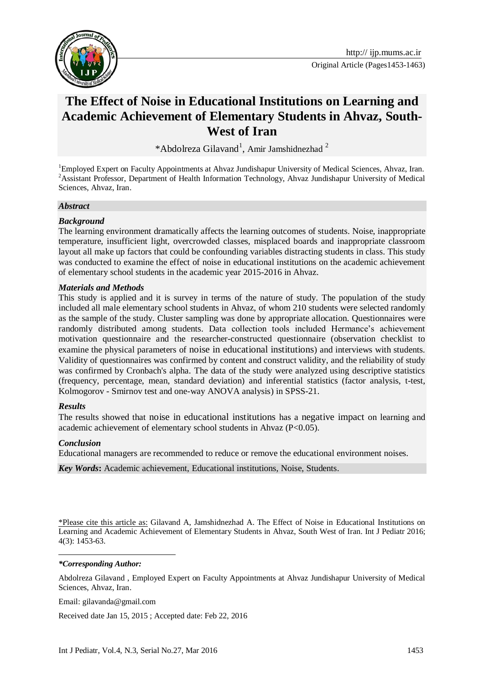

# **The Effect of Noise in Educational Institutions on Learning and Academic Achievement of Elementary Students in Ahvaz, South-West of Iran**

\*Abdolreza Gilavand<sup>1</sup>, Amir Jamshidnezhad<sup>2</sup>

<sup>1</sup>Employed Expert on Faculty Appointments at Ahvaz Jundishapur University of Medical Sciences, Ahvaz, Iran. <sup>2</sup>Assistant Professor, Department of Health Information Technology, Ahvaz Jundishapur University of Medical Sciences, Ahvaz, Iran.

#### *Abstract*

#### *Background*

The learning environment dramatically affects the learning outcomes of students. Noise, inappropriate temperature, insufficient light, overcrowded classes, misplaced boards and inappropriate classroom layout all make up factors that could be confounding variables distracting students in class. This study was conducted to examine the effect of noise in educational institutions on the academic achievement of elementary school students in the academic year 2015-2016 in Ahvaz.

#### *Materials and Methods*

This study is applied and it is survey in terms of the nature of study. The population of the study included all male elementary school students in Ahvaz, of whom 210 students were selected randomly as the sample of the study. Cluster sampling was done by appropriate allocation. Questionnaires were randomly distributed among students. Data collection tools included Hermance's achievement motivation questionnaire and the researcher-constructed questionnaire (observation checklist to examine the physical parameters of noise in educational institutions) and interviews with students. Validity of questionnaires was confirmed by content and construct validity, and the reliability of study was confirmed by Cronbach's alpha. The data of the study were analyzed using descriptive statistics (frequency, percentage, mean, standard deviation) and inferential statistics (factor analysis, t-test, Kolmogorov - Smirnov test and one-way ANOVA analysis) in SPSS-21.

#### *Results*

The results showed that noise in educational institutions has a negative impact on learning and academic achievement of elementary school students in Ahvaz (P<0.05).

#### *Conclusion*

**.** 

Educational managers are recommended to reduce or remove the educational environment noises.

*Key Words***:** Academic achievement, Educational institutions, Noise, Students.

\*Please cite this article as: Gilavand A, Jamshidnezhad A. The Effect of Noise in Educational Institutions on Learning and Academic Achievement of Elementary Students in Ahvaz, South West of Iran. Int J Pediatr 2016; 4(3): 1453-63.

#### *\*Corresponding Author:*

Abdolreza Gilavand , Employed Expert on Faculty Appointments at Ahvaz Jundishapur University of Medical Sciences, Ahvaz, Iran.

Email: [gilavanda@gmail.com](mailto:gilavanda@gmail.com)

Received date Jan 15, 2015 ; Accepted date: Feb 22, 2016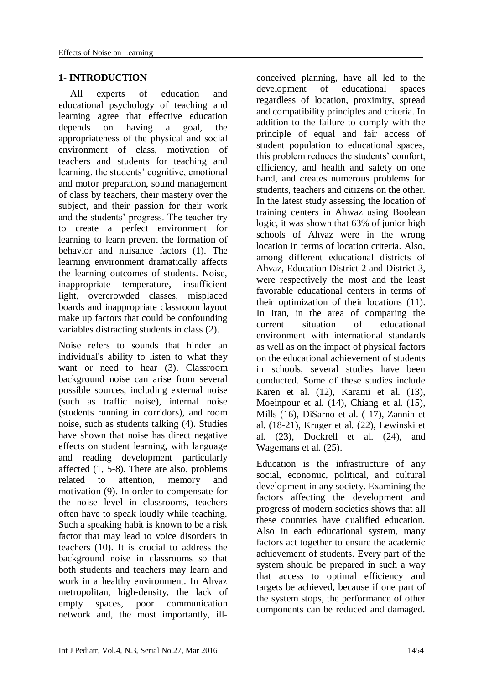### **1- INTRODUCTION**

All experts of education and educational psychology of teaching and learning agree that effective education depends on having a goal, the appropriateness of the physical and social environment of class, motivation of teachers and students for teaching and learning, the students' cognitive, emotional and motor preparation, sound management of class by teachers, their mastery over the subject, and their passion for their work and the students' progress. The teacher try to create a perfect environment for learning to learn prevent the formation of behavior and nuisance factors (1). The learning environment dramatically affects the learning outcomes of students. Noise, inappropriate temperature, insufficient light, overcrowded classes, misplaced boards and inappropriate classroom layout make up factors that could be confounding variables distracting students in class (2).

Noise refers to sounds that hinder an individual's ability to listen to what they want or need to hear (3). Classroom background noise can arise from several possible sources, including external noise (such as traffic noise), internal noise (students running in corridors), and room noise, such as students talking (4). Studies have shown that noise has direct negative effects on student learning, with language and reading development particularly affected (1, 5-8). There are also, problems related to attention, memory and motivation (9). In order to compensate for the noise level in classrooms, teachers often have to speak loudly while teaching. Such a speaking habit is known to be a risk factor that may lead to voice disorders in teachers (10). It is crucial to address the background noise in classrooms so that both students and teachers may learn and work in a healthy environment. In Ahvaz metropolitan, high-density, the lack of empty spaces, poor communication network and, the most importantly, illconceived planning, have all led to the development of educational spaces regardless of location, proximity, spread and compatibility principles and criteria. In addition to the failure to comply with the principle of equal and fair access of student population to educational spaces, this problem reduces the students' comfort, efficiency, and health and safety on one hand, and creates numerous problems for students, teachers and citizens on the other. In the latest study assessing the location of training centers in Ahwaz using Boolean logic, it was shown that 63% of junior high schools of Ahvaz were in the wrong location in terms of location criteria. Also, among different educational districts of Ahvaz, Education District 2 and District 3, were respectively the most and the least favorable educational centers in terms of their optimization of their locations (11). In Iran, in the area of comparing the current situation of educational environment with international standards as well as on the impact of physical factors on the educational achievement of students in schools, several studies have been conducted. Some of these studies include Karen et al. (12), Karami et al. (13), Moeinpour et al.  $(14)$ , Chiang et al.  $(15)$ , Mills (16), DiSarno et al. ( 17), Zannin et al. (18-21), Kruger et al. (22), Lewinski et al. (23), Dockrell et al. (24), and Wagemans et al. (25).

Education is the infrastructure of any social, economic, political, and cultural development in any society. Examining the factors affecting the development and progress of modern societies shows that all these countries have qualified education. Also in each educational system, many factors act together to ensure the academic achievement of students. Every part of the system should be prepared in such a way that access to optimal efficiency and targets be achieved, because if one part of the system stops, the performance of other components can be reduced and damaged.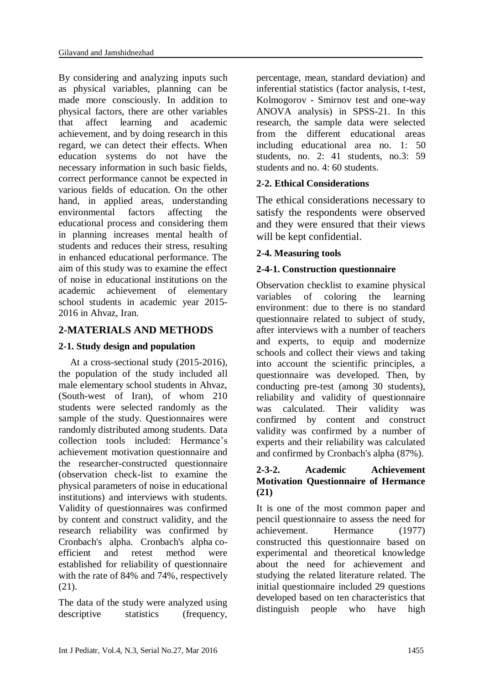By considering and analyzing inputs such as physical variables, planning can be made more consciously. In addition to physical factors, there are other variables that affect learning and academic achievement, and by doing research in this regard, we can detect their effects. When education systems do not have the necessary information in such basic fields, correct performance cannot be expected in various fields of education. On the other hand, in applied areas, understanding environmental factors affecting the educational process and considering them in planning increases mental health of students and reduces their stress, resulting in enhanced educational performance. The aim of this study was to examine the effect of noise in educational institutions on the academic achievement of elementary school students in academic year 2015- 2016 in Ahvaz, Iran.

# **2-MATERIALS AND METHODS**

## **2-1. Study design and population**

At a cross-sectional study (2015-2016), the population of the study included all male elementary school students in Ahvaz, (South-west of Iran), of whom 210 students were selected randomly as the sample of the study. Questionnaires were randomly distributed among students. Data collection tools included: Hermance's achievement motivation questionnaire and the researcher-constructed questionnaire (observation check-list to examine the physical parameters of noise in educational institutions) and interviews with students. Validity of questionnaires was confirmed by content and construct validity, and the research reliability was confirmed by Cronbach's alpha. Cronbach's alpha coefficient and retest method were established for reliability of questionnaire with the rate of 84% and 74%, respectively (21).

The data of the study were analyzed using descriptive statistics (frequency, percentage, mean, standard deviation) and inferential statistics (factor analysis, t-test, Kolmogorov - Smirnov test and one-way ANOVA analysis) in SPSS-21. In this research, the sample data were selected from the different educational areas including educational area no. 1: 50 students, no. 2: 41 students, no.3: 59 students and no. 4: 60 students.

# **2-2. Ethical Considerations**

The ethical considerations necessary to satisfy the respondents were observed and they were ensured that their views will be kept confidential.

# **2-4. Measuring tools**

# **2-4-1. Construction questionnaire**

Observation checklist to examine physical variables of coloring the learning environment: due to there is no standard questionnaire related to subject of study, after interviews with a number of teachers and experts, to equip and modernize schools and collect their views and taking into account the scientific principles, a questionnaire was developed. Then, by conducting pre-test (among 30 students), reliability and validity of questionnaire was calculated. Their validity was confirmed by content and construct validity was confirmed by a number of experts and their reliability was calculated and confirmed by Cronbach's alpha (87%).

### **2-3-2. Academic Achievement Motivation Questionnaire of Hermance (21)**

It is one of the most common paper and pencil questionnaire to assess the need for achievement. Hermance (1977) constructed this questionnaire based on experimental and theoretical knowledge about the need for achievement and studying the related literature related. The initial questionnaire included 29 questions developed based on ten characteristics that distinguish people who have high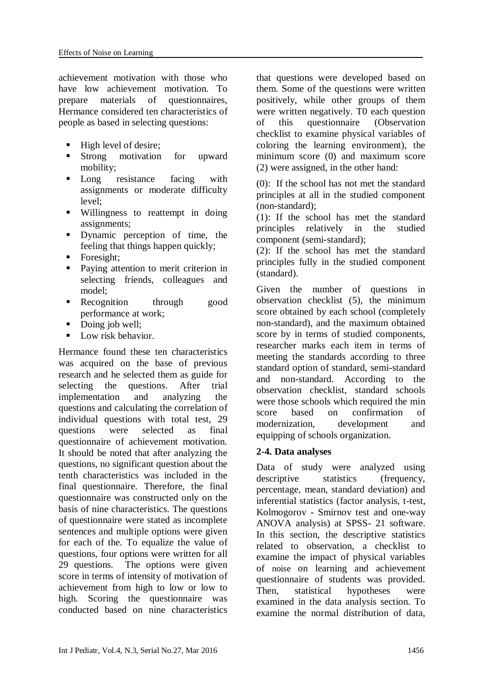achievement motivation with those who have low achievement motivation. To prepare materials of questionnaires, Hermance considered ten characteristics of people as based in selecting questions:

- High level of desire;
- Strong motivation for upward mobility;
- Long resistance facing with assignments or moderate difficulty level;
- Willingness to reattempt in doing assignments;
- Dynamic perception of time, the feeling that things happen quickly;
- $\blacksquare$  Foresight:
- **Paying attention to merit criterion in** selecting friends, colleagues and model;
- **Recognition** through good performance at work;
- Doing job well:
- Low risk behavior.

Hermance found these ten characteristics was acquired on the base of previous research and he selected them as guide for selecting the questions. After trial implementation and analyzing the questions and calculating the correlation of individual questions with total test, 29 questions were selected as final questionnaire of achievement motivation. It should be noted that after analyzing the questions, no significant question about the tenth characteristics was included in the final questionnaire. Therefore, the final questionnaire was constructed only on the basis of nine characteristics. The questions of questionnaire were stated as incomplete sentences and multiple options were given for each of the. To equalize the value of questions, four options were written for all 29 questions. The options were given score in terms of intensity of motivation of achievement from high to low or low to high. Scoring the questionnaire was conducted based on nine characteristics

that questions were developed based on them. Some of the questions were written positively, while other groups of them were written negatively. T0 each question of this questionnaire (Observation checklist to examine physical variables of coloring the learning environment), the minimum score (0) and maximum score (2) were assigned, in the other hand:

(0): If the school has not met the standard principles at all in the studied component (non-standard);

(1): If the school has met the standard principles relatively in the studied component (semi-standard);

(2): If the school has met the standard principles fully in the studied component (standard).

Given the number of questions in observation checklist (5), the minimum score obtained by each school (completely non-standard), and the maximum obtained score by in terms of studied components, researcher marks each item in terms of meeting the standards according to three standard option of standard, semi-standard and non-standard. According to the observation checklist, standard schools were those schools which required the min score based on confirmation of modernization, development and equipping of schools organization.

### **2-4. Data analyses**

Data of study were analyzed using descriptive statistics (frequency, percentage, mean, standard deviation) and inferential statistics (factor analysis, t-test, Kolmogorov - Smirnov test and one-way ANOVA analysis) at SPSS- 21 software. In this section, the descriptive statistics related to observation, a checklist to examine the impact of physical variables of noise on learning and achievement questionnaire of students was provided. Then, statistical hypotheses were examined in the data analysis section. To examine the normal distribution of data,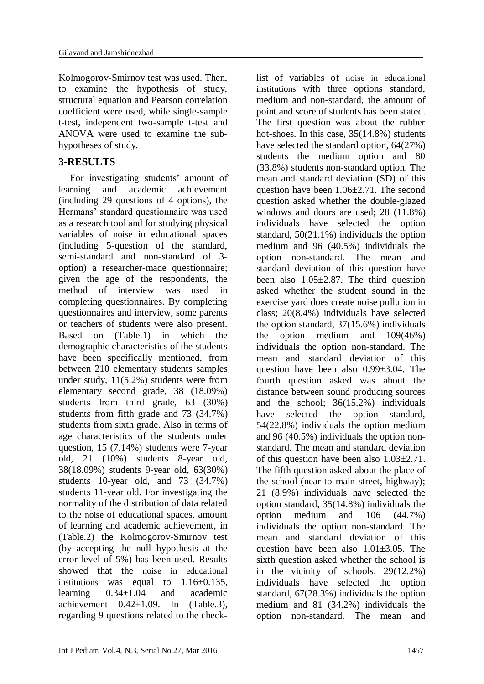Kolmogorov-Smirnov test was used. Then, to examine the hypothesis of study, structural equation and Pearson correlation coefficient were used, while single-sample t-test, independent two-sample t-test and ANOVA were used to examine the subhypotheses of study.

# **3-RESULTS**

For investigating students' amount of learning and academic achievement (including 29 questions of 4 options), the Hermans' standard questionnaire was used as a research tool and for studying physical variables of noise in educational spaces (including 5-question of the standard, semi-standard and non-standard of 3 option) a researcher-made questionnaire; given the age of the respondents, the method of interview was used in completing questionnaires. By completing questionnaires and interview, some parents or teachers of students were also present. Based on (Table.1) in which the demographic characteristics of the students have been specifically mentioned, from between 210 elementary students samples under study, 11(5.2%) students were from elementary second grade, 38 (18.09%) students from third grade, 63 (30%) students from fifth grade and 73 (34.7%) students from sixth grade. Also in terms of age characteristics of the students under question, 15 (7.14%) students were 7-year old, 21 (10%) students 8-year old, 38(18.09%) students 9-year old, 63(30%) students 10-year old, and 73 (34.7%) students 11-year old. For investigating the normality of the distribution of data related to the noise of educational spaces, amount of learning and academic achievement, in (Table.2) the Kolmogorov-Smirnov test (by accepting the null hypothesis at the error level of 5%) has been used. Results showed that the noise in educational institutions was equal to  $1.16\pm0.135$ , learning 0.34±1.04 and academic achievement  $0.42 \pm 1.09$ . In (Table.3), regarding 9 questions related to the check-

list of variables of noise in educational institutions with three options standard, medium and non-standard, the amount of point and score of students has been stated. The first question was about the rubber hot-shoes. In this case,  $35(14.8%)$  students have selected the standard option, 64(27%) students the medium option and 80 (33.8%) students non-standard option. The mean and standard deviation (SD) of this question have been  $1.06 \pm 2.71$ . The second question asked whether the double-glazed windows and doors are used; 28 (11.8%) individuals have selected the option standard, 50(21.1%) individuals the option medium and 96 (40.5%) individuals the option non-standard. The mean and standard deviation of this question have been also  $1.05\pm2.87$ . The third question asked whether the student sound in the exercise yard does create noise pollution in class; 20(8.4%) individuals have selected the option standard, 37(15.6%) individuals the option medium and 109(46%) individuals the option non-standard. The mean and standard deviation of this question have been also 0.99±3.04. The fourth question asked was about the distance between sound producing sources and the school; 36(15.2%) individuals have selected the option standard, 54(22.8%) individuals the option medium and 96 (40.5%) individuals the option nonstandard. The mean and standard deviation of this question have been also  $1.03 \pm 2.71$ . The fifth question asked about the place of the school (near to main street, highway); 21 (8.9%) individuals have selected the option standard, 35(14.8%) individuals the option medium and 106 (44.7%) individuals the option non-standard. The mean and standard deviation of this question have been also  $1.01 \pm 3.05$ . The sixth question asked whether the school is in the vicinity of schools; 29(12.2%) individuals have selected the option standard, 67(28.3%) individuals the option medium and 81 (34.2%) individuals the option non-standard. The mean and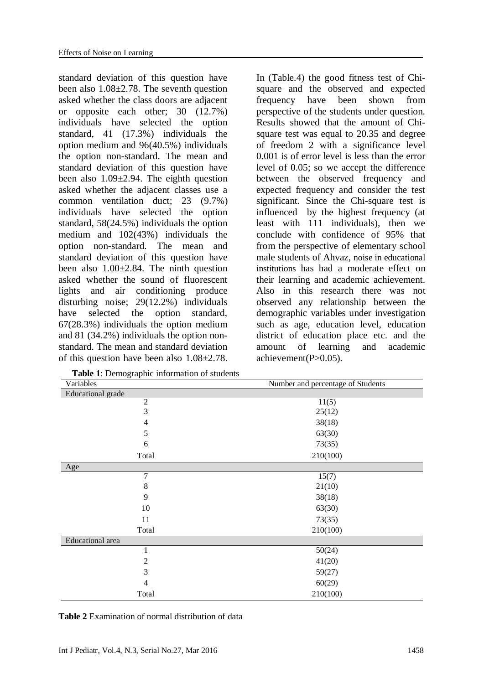standard deviation of this question have been also 1.08±2.78. The seventh question asked whether the class doors are adjacent or opposite each other; 30 (12.7%) individuals have selected the option standard, 41 (17.3%) individuals the option medium and 96(40.5%) individuals the option non-standard. The mean and standard deviation of this question have been also 1.09±2.94. The eighth question asked whether the adjacent classes use a common ventilation duct; 23 (9.7%) individuals have selected the option standard, 58(24.5%) individuals the option medium and 102(43%) individuals the option non-standard. The mean and standard deviation of this question have been also 1.00±2.84. The ninth question asked whether the sound of fluorescent lights and air conditioning produce disturbing noise; 29(12.2%) individuals have selected the option standard, 67(28.3%) individuals the option medium and 81 (34.2%) individuals the option nonstandard. The mean and standard deviation of this question have been also 1.08±2.78.

In (Table.4) the good fitness test of Chisquare and the observed and expected frequency have been shown from perspective of the students under question. Results showed that the amount of Chisquare test was equal to 20.35 and degree of freedom 2 with a significance level 0.001 is of error level is less than the error level of 0.05; so we accept the difference between the observed frequency and expected frequency and consider the test significant. Since the Chi-square test is influenced by the highest frequency (at least with 111 individuals), then we conclude with confidence of 95% that from the perspective of elementary school male students of Ahvaz, noise in educational institutions has had a moderate effect on their learning and academic achievement. Also in this research there was not observed any relationship between the demographic variables under investigation such as age, education level, education district of education place etc. and the amount of learning and academic achievement(P>0.05).

| Variables         | Number and percentage of Students |  |  |
|-------------------|-----------------------------------|--|--|
| Educational grade |                                   |  |  |
| $\mathbf{2}$      | 11(5)                             |  |  |
| 3                 | 25(12)                            |  |  |
| 4                 | 38(18)                            |  |  |
| 5                 | 63(30)                            |  |  |
| 6                 | 73(35)                            |  |  |
| Total             | 210(100)                          |  |  |
| Age               |                                   |  |  |
| $\overline{7}$    | 15(7)                             |  |  |
| $\,8\,$           | 21(10)                            |  |  |
| 9                 | 38(18)                            |  |  |
| 10                | 63(30)                            |  |  |
| 11                | 73(35)                            |  |  |
| Total             | 210(100)                          |  |  |
| Educational area  |                                   |  |  |
| 1                 | 50(24)                            |  |  |
| 2                 | 41(20)                            |  |  |
| 3                 | 59(27)                            |  |  |
| 4                 | 60(29)                            |  |  |
| Total             | 210(100)                          |  |  |

 **Table 1**: Demographic information of students

**Table 2** Examination of normal distribution of data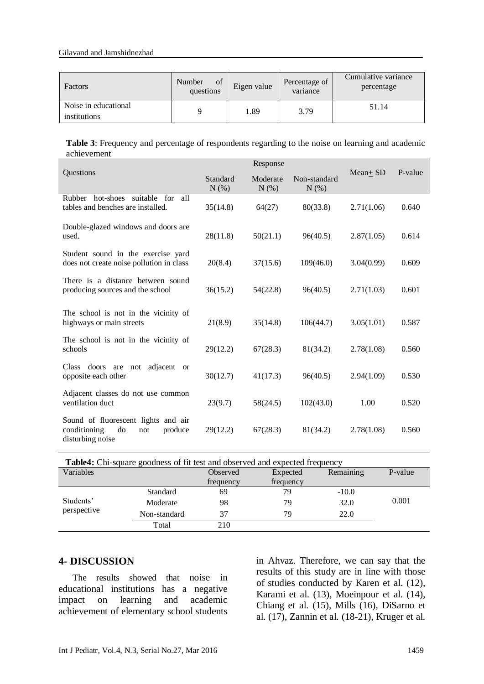#### Gilavand and Jamshidnezhad

| Factors                              | of<br>Number<br>questions | Eigen value | Percentage of<br>variance | Cumulative variance<br>percentage |
|--------------------------------------|---------------------------|-------------|---------------------------|-----------------------------------|
| Noise in educational<br>institutions |                           | l.89        | 3.79                      | 51.14                             |

**Table 3**: Frequency and percentage of respondents regarding to the noise on learning and academic achievement

|                                                                                                 | Response         |                        |                         |             |         |
|-------------------------------------------------------------------------------------------------|------------------|------------------------|-------------------------|-------------|---------|
| Questions                                                                                       | Standard<br>N(%) | Moderate<br>$N$ $(\%)$ | Non-standard<br>$N(\%)$ | $Mean + SD$ | P-value |
| Rubber hot-shoes suitable for<br>all<br>tables and benches are installed.                       | 35(14.8)         | 64(27)                 | 80(33.8)                | 2.71(1.06)  | 0.640   |
| Double-glazed windows and doors are<br>used.                                                    | 28(11.8)         | 50(21.1)               | 96(40.5)                | 2.87(1.05)  | 0.614   |
| Student sound in the exercise yard<br>does not create noise pollution in class                  | 20(8.4)          | 37(15.6)               | 109(46.0)               | 3.04(0.99)  | 0.609   |
| There is a distance between sound<br>producing sources and the school                           | 36(15.2)         | 54(22.8)               | 96(40.5)                | 2.71(1.03)  | 0.601   |
| The school is not in the vicinity of<br>highways or main streets                                | 21(8.9)          | 35(14.8)               | 106(44.7)               | 3.05(1.01)  | 0.587   |
| The school is not in the vicinity of<br>schools                                                 | 29(12.2)         | 67(28.3)               | 81(34.2)                | 2.78(1.08)  | 0.560   |
| Class doors are not<br>adjacent or<br>opposite each other                                       | 30(12.7)         | 41(17.3)               | 96(40.5)                | 2.94(1.09)  | 0.530   |
| Adjacent classes do not use common<br>ventilation duct                                          | 23(9.7)          | 58(24.5)               | 102(43.0)               | 1.00        | 0.520   |
| Sound of fluorescent lights and air<br>conditioning<br>do<br>produce<br>not<br>disturbing noise | 29(12.2)         | 67(28.3)               | 81(34.2)                | 2.78(1.08)  | 0.560   |

| <b>Table4:</b> Chi-square goodness of fit test and observed and expected frequency |              |           |           |           |         |  |
|------------------------------------------------------------------------------------|--------------|-----------|-----------|-----------|---------|--|
| Variables                                                                          |              | Observed  | Expected  | Remaining | P-value |  |
|                                                                                    |              | frequency | frequency |           |         |  |
| Students'<br>perspective                                                           | Standard     | 69        | 79        | $-10.0$   |         |  |
|                                                                                    | Moderate     | 98        | 79        | 32.0      | 0.001   |  |
|                                                                                    | Non-standard | 37        | 79        | 22.0      |         |  |
|                                                                                    | Total        | 210       |           |           |         |  |

### **4- DISCUSSION**

The results showed that noise in educational institutions has a negative impact on learning and academic achievement of elementary school students in Ahvaz. Therefore, we can say that the results of this study are in line with those of studies conducted by Karen et al. (12), Karami et al. (13), Moeinpour et al. (14), Chiang et al. (15), Mills (16), DiSarno et al. (17), Zannin et al. (18-21), Kruger et al.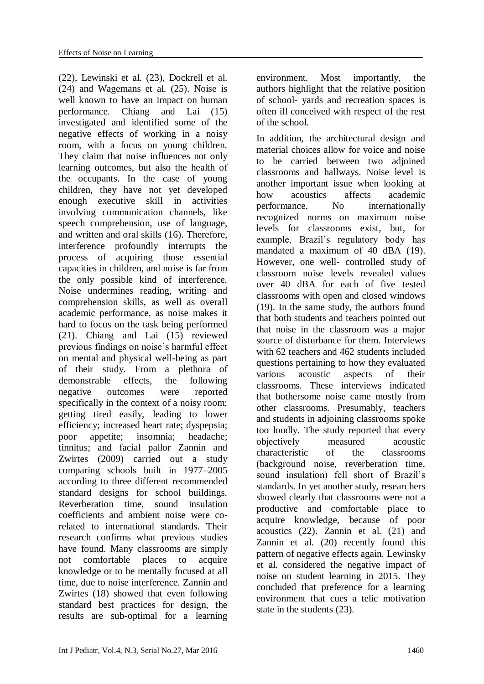(22), Lewinski et al. (23), Dockrell et al. (24) and Wagemans et al. (25). Noise is well known to have an impact on human performance. Chiang and Lai (15) investigated and identified some of the negative effects of working in a noisy room, with a focus on young children. They claim that noise influences not only learning outcomes, but also the health of the occupants. In the case of young children, they have not yet developed enough executive skill in activities involving communication channels, like speech comprehension, use of language, and written and oral skills (16). Therefore, interference profoundly interrupts the process of acquiring those essential capacities in children, and noise is far from the only possible kind of interference. Noise undermines reading, writing and comprehension skills, as well as overall academic performance, as noise makes it hard to focus on the task being performed (21). Chiang and Lai (15) reviewed previous findings on noise's harmful effect on mental and physical well-being as part of their study. From a plethora of demonstrable effects, the following negative outcomes were reported specifically in the context of a noisy room: getting tired easily, leading to lower efficiency; increased heart rate; dyspepsia; poor appetite; insomnia; headache; tinnitus; and facial pallor Zannin and Zwirtes (2009) carried out a study comparing schools built in 1977–2005 according to three different recommended standard designs for school buildings. Reverberation time, sound insulation coefficients and ambient noise were corelated to international standards. Their research confirms what previous studies have found. Many classrooms are simply not comfortable places to acquire knowledge or to be mentally focused at all time, due to noise interference. Zannin and Zwirtes (18) showed that even following standard best practices for design, the results are sub-optimal for a learning environment. Most importantly, the authors highlight that the relative position of school- yards and recreation spaces is often ill conceived with respect of the rest of the school.

In addition, the architectural design and material choices allow for voice and noise to be carried between two adjoined classrooms and hallways. Noise level is another important issue when looking at how acoustics affects academic performance. No internationally recognized norms on maximum noise levels for classrooms exist, but, for example, Brazil's regulatory body has mandated a maximum of 40 dBA (19). However, one well- controlled study of classroom noise levels revealed values over 40 dBA for each of five tested classrooms with open and closed windows (19). In the same study, the authors found that both students and teachers pointed out that noise in the classroom was a major source of disturbance for them. Interviews with 62 teachers and 462 students included questions pertaining to how they evaluated various acoustic aspects of their classrooms. These interviews indicated that bothersome noise came mostly from other classrooms. Presumably, teachers and students in adjoining classrooms spoke too loudly. The study reported that every objectively measured acoustic characteristic of the classrooms (background noise, reverberation time, sound insulation) fell short of Brazil's standards. In yet another study, researchers showed clearly that classrooms were not a productive and comfortable place to acquire knowledge, because of poor acoustics (22). Zannin et al. (21) and Zannin et al. (20) recently found this pattern of negative effects again. Lewinsky et al. considered the negative impact of noise on student learning in 2015. They concluded that preference for a learning environment that cues a telic motivation state in the students (23).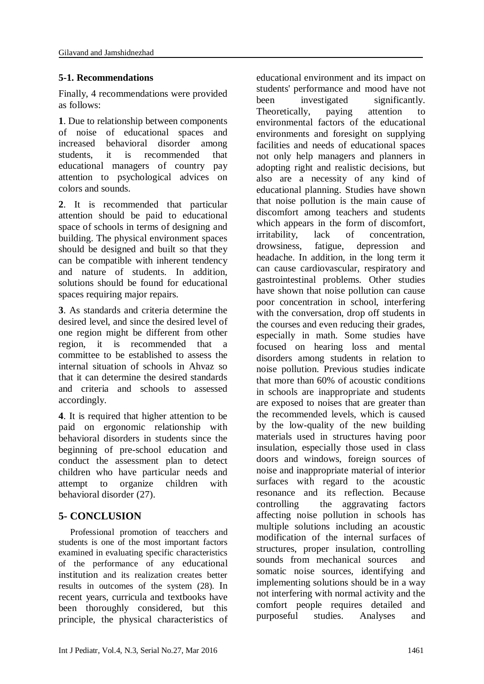## **5-1. Recommendations**

Finally, 4 recommendations were provided as follows:

**1**. Due to relationship between components of noise of educational spaces and increased behavioral disorder among students, it is recommended that educational managers of country pay attention to psychological advices on colors and sounds.

**2**. It is recommended that particular attention should be paid to educational space of schools in terms of designing and building. The physical environment spaces should be designed and built so that they can be compatible with inherent tendency and nature of students. In addition, solutions should be found for educational spaces requiring major repairs.

**3**. As standards and criteria determine the desired level, and since the desired level of one region might be different from other region, it is recommended that a committee to be established to assess the internal situation of schools in Ahvaz so that it can determine the desired standards and criteria and schools to assessed accordingly.

**4**. It is required that higher attention to be paid on ergonomic relationship with behavioral disorders in students since the beginning of pre-school education and conduct the assessment plan to detect children who have particular needs and attempt to organize children with behavioral disorder (27).

# **5- CONCLUSION**

Professional promotion of teacchers and students is one of the most important factors examined in evaluating specific characteristics of the performance of any educational institution and its realization creates better results in outcomes of the system (28). In recent years, curricula and textbooks have been thoroughly considered, but this principle, the physical characteristics of

educational environment and its impact on students' performance and mood have not been investigated significantly. Theoretically, paying attention to environmental factors of the educational environments and foresight on supplying facilities and needs of educational spaces not only help managers and planners in adopting right and realistic decisions, but also are a necessity of any kind of educational planning. Studies have shown that noise pollution is the main cause of discomfort among teachers and students which appears in the form of discomfort, irritability, lack of concentration, drowsiness, fatigue, depression and headache. In addition, in the long term it can cause cardiovascular, respiratory and gastrointestinal problems. Other studies have shown that noise pollution can cause poor concentration in school, interfering with the conversation, drop off students in the courses and even reducing their grades, especially in math. Some studies have focused on hearing loss and mental disorders among students in relation to noise pollution. Previous studies indicate that more than 60% of acoustic conditions in schools are inappropriate and students are exposed to noises that are greater than the recommended levels, which is caused by the low-quality of the new building materials used in structures having poor insulation, especially those used in class doors and windows, foreign sources of noise and inappropriate material of interior surfaces with regard to the acoustic resonance and its reflection. Because controlling the aggravating factors affecting noise pollution in schools has multiple solutions including an acoustic modification of the internal surfaces of structures, proper insulation, controlling sounds from mechanical sources and somatic noise sources, identifying and implementing solutions should be in a way not interfering with normal activity and the comfort people requires detailed and purposeful studies. Analyses and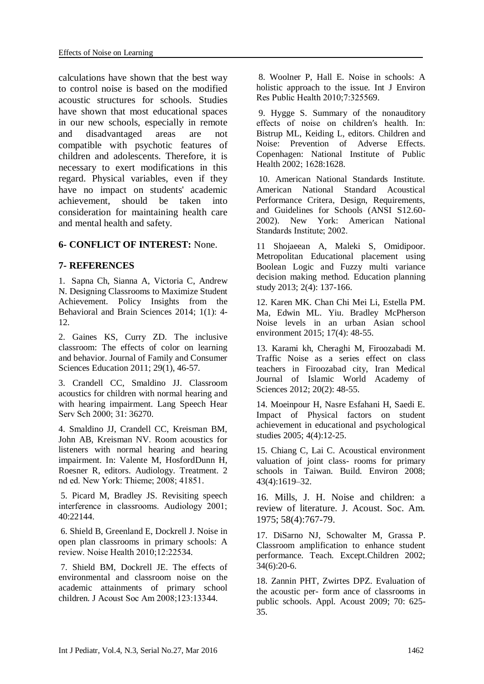calculations have shown that the best way to control noise is based on the modified acoustic structures for schools. Studies have shown that most educational spaces in our new schools, especially in remote and disadvantaged areas are not compatible with psychotic features of children and adolescents. Therefore, it is necessary to exert modifications in this regard. Physical variables, even if they have no impact on students' academic achievement, should be taken into consideration for maintaining health care and mental health and safety.

### **6- CONFLICT OF INTEREST:** None.

### **7- REFERENCES**

1. Sapna Ch, Sianna A, Victoria C, [Andrew](http://bbs.sagepub.com/search?author1=Andrew+N.+Meltzoff&sortspec=date&submit=Submit)  [N.](http://bbs.sagepub.com/search?author1=Andrew+N.+Meltzoff&sortspec=date&submit=Submit) Designing Classrooms to Maximize Student Achievement. Policy Insights from the Behavioral and Brain Sciences 2014; 1(1): 4- 12.

2. Gaines KS, Curry ZD. The inclusive classroom: The effects of color on learning and behavior. Journal of Family and Consumer Sciences Education 2011; 29(1), 46-57.

3. Crandell CC, Smaldino JJ. Classroom acoustics for children with normal hearing and with hearing impairment. Lang Speech Hear Serv Sch 2000; 31: 36270.

4. Smaldino JJ, Crandell CC, Kreisman BM, John AB, Kreisman NV. Room acoustics for listeners with normal hearing and hearing impairment. In: Valente M, HosfordDunn H, Roesner R, editors. Audiology. Treatment. 2 nd ed. New York: Thieme; 2008; 41851.

5. Picard M, Bradley JS. Revisiting speech interference in classrooms. Audiology 2001; 40:22144.

6. Shield B, Greenland E, Dockrell J. Noise in open plan classrooms in primary schools: A review. Noise Health 2010;12:22534.

7. Shield BM, Dockrell JE. The effects of environmental and classroom noise on the academic attainments of primary school children. J Acoust Soc Am 2008;123:13344.

8. Woolner P, Hall E. Noise in schools: A holistic approach to the issue. Int J Environ Res Public Health 2010;7:325569.

9. Hygge S. Summary of the nonauditory effects of noise on children′s health. In: Bistrup ML, Keiding L, editors. Children and Noise: Prevention of Adverse Effects. Copenhagen: National Institute of Public Health 2002; 1628:1628.

10. American National Standards Institute. American National Standard Acoustical Performance Critera, Design, Requirements, and Guidelines for Schools (ANSI S12.60- 2002). New York: American National Standards Institute; 2002.

11 Shojaeean A, Maleki S, Omidipoor. Metropolitan Educational placement using Boolean Logic and Fuzzy multi variance decision making method. Education planning study 2013; 2(4): 137-166.

12. Karen MK. Chan Chi Mei Li, Estella PM. Ma, Edwin ML. Yiu. Bradley McPherson Noise levels in an urban Asian school environment 2015; 17(4): 48-55.

13. Karami kh, Cheraghi M, Firoozabadi M. Traffic Noise as a series effect on class teachers in Firoozabad city, Iran Medical Journal of Islamic World Academy of Sciences 2012; 20(2): 48-55.

14. Moeinpour H, Nasre Esfahani H, Saedi E. Impact of Physical factors on student achievement in educational and psychological studies 2005; 4(4):12-25.

15. Chiang C, Lai C. Acoustical environment valuation of joint class- rooms for primary schools in Taiwan. Build. Environ 2008; 43(4):1619–32.

16. Mills, J. H. Noise and children: a review of literature. J. Acoust. Soc. Am. 1975; 58(4):767-79.

17. DiSarno NJ, Schowalter M, Grassa P. Classroom amplification to enhance student performance. Teach. Except.Children 2002; 34(6):20-6.

18. Zannin PHT, Zwirtes DPZ. Evaluation of the acoustic per- form ance of classrooms in public schools. Appl. Acoust 2009; 70: 625- 35.